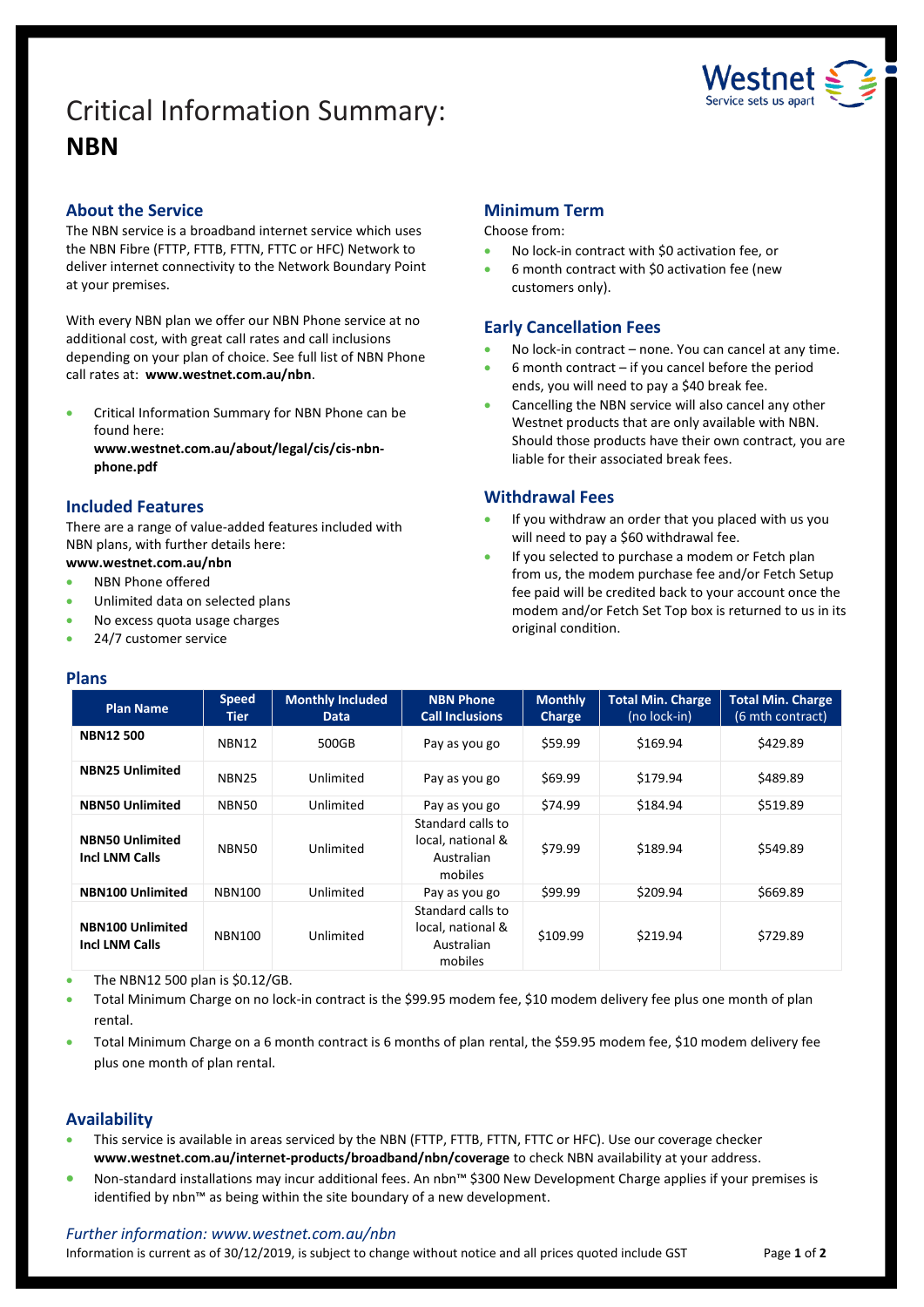# Critical Information Summary: **NBN**



# **About the Service**

The NBN service is a broadband internet service which uses the NBN Fibre (FTTP, FTTB, FTTN, FTTC or HFC) Network to deliver internet connectivity to the Network Boundary Point at your premises.

With every NBN plan we offer our NBN Phone service at no additional cost, with great call rates and call inclusions depending on your plan of choice. See full list of NBN Phone call rates at: **www.westnet.com.au/nbn**.

 Critical Information Summary for NBN Phone can be found here:

**www.westnet.com.au/about/legal/cis/cis-nbnphone.pdf**

# **Included Features**

There are a range of value-added features included with NBN plans, with further details here:

# **www.westnet.com.au/nbn**

- NBN Phone offered
- Unlimited data on selected plans
- No excess quota usage charges
- 24/7 customer service

#### **Plans**

# **Minimum Term**

#### Choose from:

- No lock-in contract with \$0 activation fee, or
- 6 month contract with \$0 activation fee (new customers only).

# **Early Cancellation Fees**

- No lock-in contract none. You can cancel at any time.
- 6 month contract if you cancel before the period ends, you will need to pay a \$40 break fee.
- Cancelling the NBN service will also cancel any other Westnet products that are only available with NBN. Should those products have their own contract, you are liable for their associated break fees.

# **Withdrawal Fees**

- If you withdraw an order that you placed with us you will need to pay a \$60 withdrawal fee.
- If you selected to purchase a modem or Fetch plan from us, the modem purchase fee and/or Fetch Setup fee paid will be credited back to your account once the modem and/or Fetch Set Top box is returned to us in its original condition.

| <b>Plan Name</b>                                 | <b>Speed</b><br>Tier | <b>Monthly Included</b><br><b>Data</b> | <b>NBN Phone</b><br><b>Call Inclusions</b>                      | <b>Monthly</b><br>Charge | <b>Total Min. Charge</b><br>(no lock-in) | <b>Total Min. Charge</b><br>(6 mth contract) |
|--------------------------------------------------|----------------------|----------------------------------------|-----------------------------------------------------------------|--------------------------|------------------------------------------|----------------------------------------------|
| <b>NBN12500</b>                                  | NBN12                | 500GB                                  | Pay as you go                                                   | \$59.99                  | \$169.94                                 | \$429.89                                     |
| <b>NBN25 Unlimited</b>                           | <b>NBN25</b>         | Unlimited                              | Pay as you go                                                   | \$69.99                  | \$179.94                                 | \$489.89                                     |
| <b>NBN50 Unlimited</b>                           | NBN50                | Unlimited                              | Pay as you go                                                   | \$74.99                  | \$184.94                                 | \$519.89                                     |
| <b>NBN50 Unlimited</b><br><b>Incl LNM Calls</b>  | NBN50                | Unlimited                              | Standard calls to<br>local, national &<br>Australian<br>mobiles | \$79.99                  | \$189.94                                 | \$549.89                                     |
| <b>NBN100 Unlimited</b>                          | <b>NBN100</b>        | Unlimited                              | Pay as you go                                                   | \$99.99                  | \$209.94                                 | \$669.89                                     |
| <b>NBN100 Unlimited</b><br><b>Incl LNM Calls</b> | <b>NBN100</b>        | Unlimited                              | Standard calls to<br>local, national &<br>Australian<br>mobiles | \$109.99                 | \$219.94                                 | \$729.89                                     |

The NBN12 500 plan is \$0.12/GB.

- Total Minimum Charge on no lock-in contract is the \$99.95 modem fee, \$10 modem delivery fee plus one month of plan rental.
- Total Minimum Charge on a 6 month contract is 6 months of plan rental, the \$59.95 modem fee, \$10 modem delivery fee plus one month of plan rental.

#### **Availability**

- This service is available in areas serviced by the NBN (FTTP, FTTB, FTTN, FTTC or HFC). Use ou[r coverage checker](https://www.westnet.com.au/internet-products/broadband/nbn/coverage/) **www.westnet.com.au/internet-products/broadband/nbn/coverage** to check NBN availability at your address.
- Non-standard installations may incur additional fees. An nbn™ \$300 New Development Charge applies if your premises is identified by nbn™ as being within the site boundary of a new development.

#### *Further information: www.westnet.com.au/nbn*

Information is current as of 30/12/2019, is subject to change without notice and all prices quoted include GST Page 1 of 2